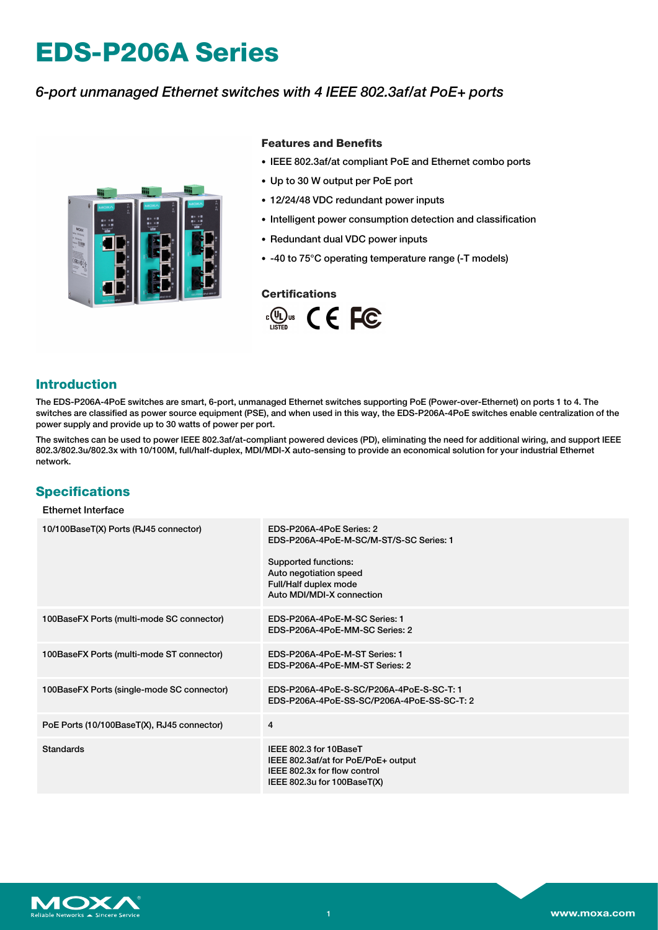# **EDS-P206A Series**

# *6-port unmanaged Ethernet switches with 4 IEEE 802.3af/at PoE+ ports*



### **Features and Benefits**

- IEEE 802.3af/at compliant PoE and Ethernet combo ports
- Up to 30 W output per PoE port
- 12/24/48 VDC redundant power inputs
- Intelligent power consumption detection and classification
- Redundant dual VDC power inputs
- -40 to 75°C operating temperature range (-T models)

### **Certifications**



# **Introduction**

The EDS-P206A-4PoE switches are smart, 6-port, unmanaged Ethernet switches supporting PoE (Power-over-Ethernet) on ports 1 to 4. The switches are classified as power source equipment (PSE), and when used in this way, the EDS-P206A-4PoE switches enable centralization of the power supply and provide up to 30 watts of power per port.

The switches can be used to power IEEE 802.3af/at-compliant powered devices (PD), eliminating the need for additional wiring, and support IEEE 802.3/802.3u/802.3x with 10/100M, full/half-duplex, MDI/MDI-X auto-sensing to provide an economical solution for your industrial Ethernet network.

# **Specifications**

| 10/100BaseT(X) Ports (RJ45 connector)      | EDS-P206A-4PoE Series: 2<br>EDS-P206A-4PoE-M-SC/M-ST/S-SC Series: 1<br>Supported functions:<br>Auto negotiation speed<br>Full/Half duplex mode<br>Auto MDI/MDI-X connection |
|--------------------------------------------|-----------------------------------------------------------------------------------------------------------------------------------------------------------------------------|
| 100BaseFX Ports (multi-mode SC connector)  | EDS-P206A-4PoE-M-SC Series: 1<br>EDS-P206A-4PoE-MM-SC Series: 2                                                                                                             |
| 100BaseFX Ports (multi-mode ST connector)  | EDS-P206A-4PoE-M-ST Series: 1<br>EDS-P206A-4PoE-MM-ST Series: 2                                                                                                             |
| 100BaseFX Ports (single-mode SC connector) | EDS-P206A-4PoE-S-SC/P206A-4PoE-S-SC-T: 1<br>EDS-P206A-4PoE-SS-SC/P206A-4PoE-SS-SC-T: 2                                                                                      |
| PoE Ports (10/100BaseT(X), RJ45 connector) | $\overline{4}$                                                                                                                                                              |
| <b>Standards</b>                           | IEEE 802.3 for 10BaseT<br>IEEE 802.3af/at for PoE/PoE+ output<br>IEEE 802.3x for flow control<br>IEEE 802.3u for 100BaseT(X)                                                |

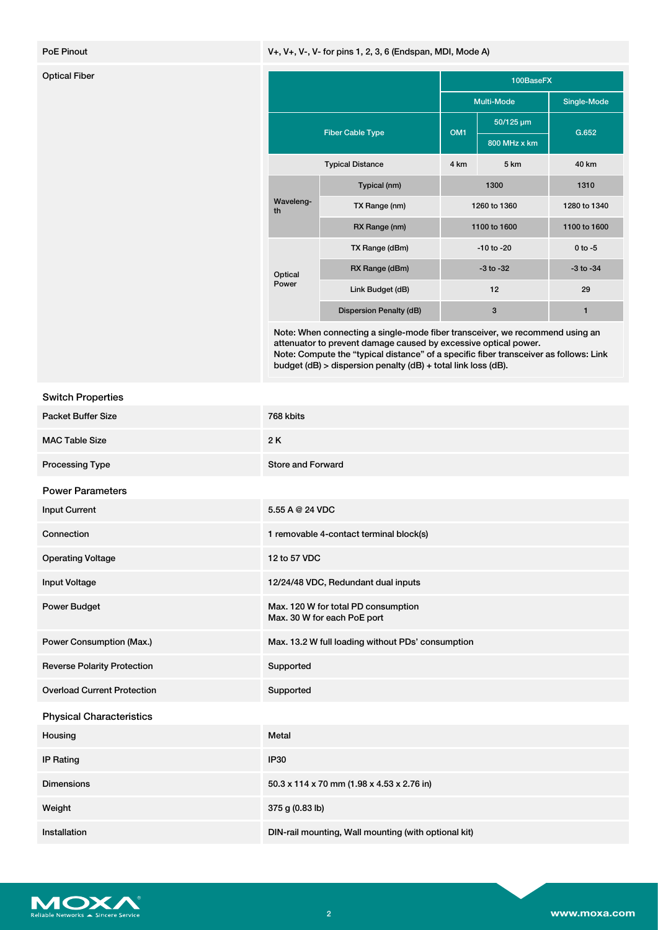### PoE Pinout **Profession Contract Contract Contract Contract Contract Contract Contract Contract Contract Contract Contract Contract Contract Contract Contract Contract Contract Contract Contract Contract Contract Contract C**

| <b>Optical Fiber</b> |                         |                         | 100BaseFX       |              |               |
|----------------------|-------------------------|-------------------------|-----------------|--------------|---------------|
|                      |                         |                         | Multi-Mode      |              | Single-Mode   |
|                      | <b>Fiber Cable Type</b> |                         | OM <sub>1</sub> | 50/125 um    | G.652         |
|                      |                         |                         |                 | 800 MHz x km |               |
|                      |                         | <b>Typical Distance</b> | 4 km            | 5 km         | 40 km         |
|                      | Waveleng-<br>th         | Typical (nm)            | 1300            |              | 1310          |
|                      |                         | TX Range (nm)           | 1260 to 1360    |              | 1280 to 1340  |
|                      |                         | RX Range (nm)           | 1100 to 1600    |              | 1100 to 1600  |
|                      | Optical<br>Power        | TX Range (dBm)          | $-10$ to $-20$  |              | $0$ to $-5$   |
|                      |                         | RX Range (dBm)          | $-3$ to $-32$   |              | $-3$ to $-34$ |
|                      |                         | Link Budget (dB)        | 12              |              | 29            |
|                      |                         | Dispersion Penalty (dB) |                 | 3            | 1             |

Note: When connecting a single-mode fiber transceiver, we recommend using an attenuator to prevent damage caused by excessive optical power. Note: Compute the "typical distance" of a specific fiber transceiver as follows: Link budget (dB) > dispersion penalty (dB) + total link loss (dB).

| <b>Switch Properties</b>           |                                                                    |
|------------------------------------|--------------------------------------------------------------------|
| <b>Packet Buffer Size</b>          | 768 kbits                                                          |
| <b>MAC Table Size</b>              | 2K                                                                 |
| <b>Processing Type</b>             | <b>Store and Forward</b>                                           |
| <b>Power Parameters</b>            |                                                                    |
| <b>Input Current</b>               | 5.55 A @ 24 VDC                                                    |
| Connection                         | 1 removable 4-contact terminal block(s)                            |
| <b>Operating Voltage</b>           | 12 to 57 VDC                                                       |
| <b>Input Voltage</b>               | 12/24/48 VDC, Redundant dual inputs                                |
| <b>Power Budget</b>                | Max. 120 W for total PD consumption<br>Max. 30 W for each PoE port |
| <b>Power Consumption (Max.)</b>    | Max. 13.2 W full loading without PDs' consumption                  |
| <b>Reverse Polarity Protection</b> | Supported                                                          |
| <b>Overload Current Protection</b> | Supported                                                          |
| <b>Physical Characteristics</b>    |                                                                    |
| Housing                            | Metal                                                              |
| <b>IP Rating</b>                   | <b>IP30</b>                                                        |
| <b>Dimensions</b>                  | 50.3 x 114 x 70 mm (1.98 x 4.53 x 2.76 in)                         |
| Weight                             | 375 g (0.83 lb)                                                    |
| Installation                       | DIN-rail mounting, Wall mounting (with optional kit)               |

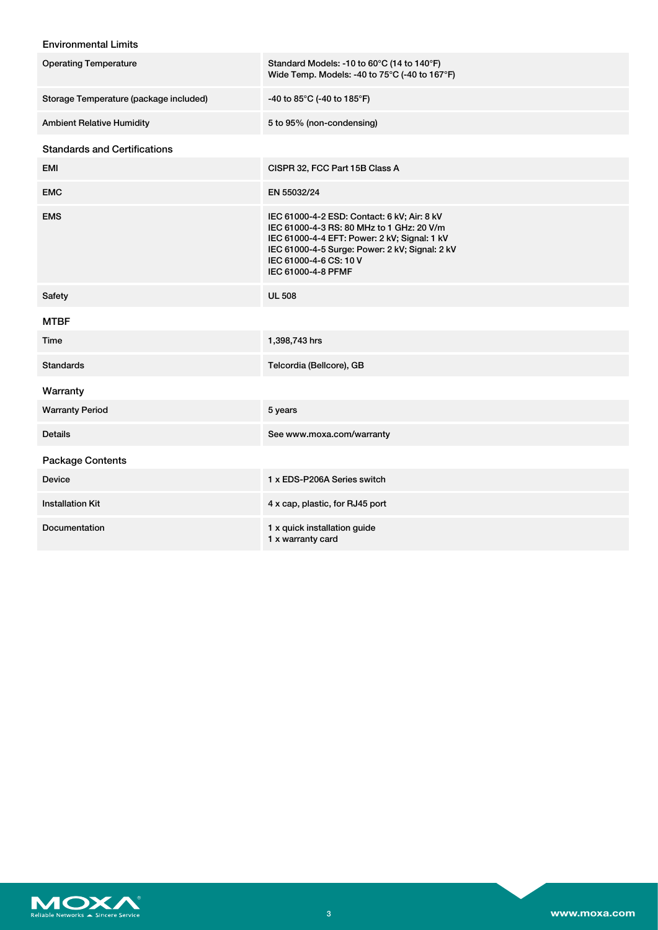# Environmental Limits

| <b>Operating Temperature</b>           | Standard Models: -10 to 60°C (14 to 140°F)<br>Wide Temp. Models: -40 to 75°C (-40 to 167°F)                                                                                                                                                |
|----------------------------------------|--------------------------------------------------------------------------------------------------------------------------------------------------------------------------------------------------------------------------------------------|
| Storage Temperature (package included) | -40 to 85°C (-40 to 185°F)                                                                                                                                                                                                                 |
| <b>Ambient Relative Humidity</b>       | 5 to 95% (non-condensing)                                                                                                                                                                                                                  |
| <b>Standards and Certifications</b>    |                                                                                                                                                                                                                                            |
| <b>EMI</b>                             | CISPR 32, FCC Part 15B Class A                                                                                                                                                                                                             |
| <b>EMC</b>                             | EN 55032/24                                                                                                                                                                                                                                |
| <b>EMS</b>                             | IEC 61000-4-2 ESD: Contact: 6 kV; Air: 8 kV<br>IEC 61000-4-3 RS: 80 MHz to 1 GHz: 20 V/m<br>IEC 61000-4-4 EFT: Power: 2 kV; Signal: 1 kV<br>IEC 61000-4-5 Surge: Power: 2 kV; Signal: 2 kV<br>IEC 61000-4-6 CS: 10 V<br>IEC 61000-4-8 PFMF |
| Safety                                 | <b>UL 508</b>                                                                                                                                                                                                                              |
| <b>MTBF</b>                            |                                                                                                                                                                                                                                            |
| Time                                   | 1,398,743 hrs                                                                                                                                                                                                                              |
| <b>Standards</b>                       | Telcordia (Bellcore), GB                                                                                                                                                                                                                   |
| Warranty                               |                                                                                                                                                                                                                                            |
| <b>Warranty Period</b>                 | 5 years                                                                                                                                                                                                                                    |
| <b>Details</b>                         | See www.moxa.com/warranty                                                                                                                                                                                                                  |
| <b>Package Contents</b>                |                                                                                                                                                                                                                                            |
| <b>Device</b>                          | 1 x EDS-P206A Series switch                                                                                                                                                                                                                |
| <b>Installation Kit</b>                | 4 x cap, plastic, for RJ45 port                                                                                                                                                                                                            |
| Documentation                          | 1 x quick installation guide<br>1 x warranty card                                                                                                                                                                                          |

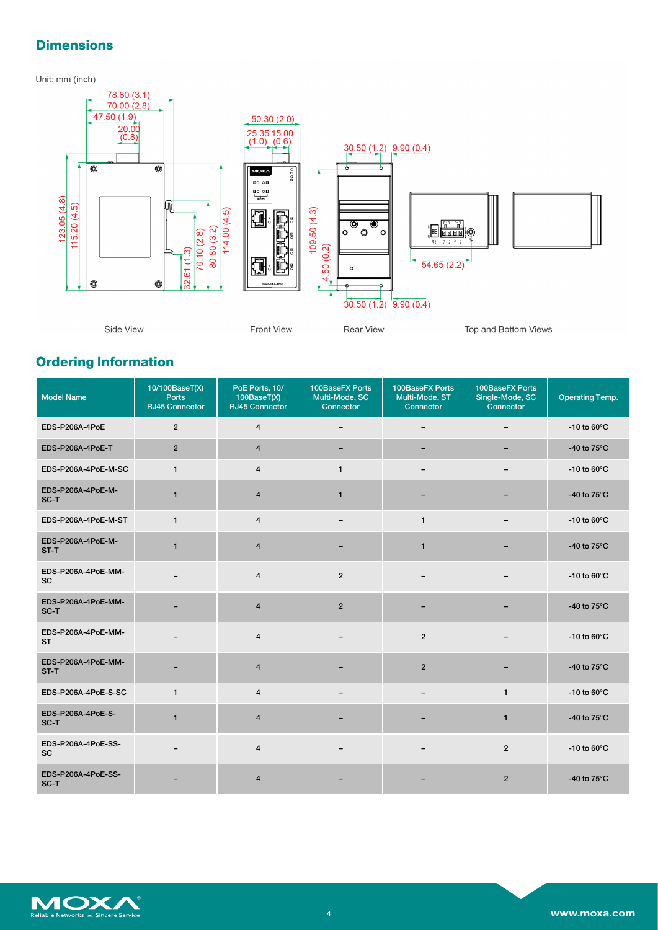# **Dimensions**

Unit: mm (inch)



# **Ordering Information**

| <b>Model Name</b>               | 10/100BaseT(X)<br><b>Ports</b><br><b>RJ45 Connector</b> | PoE Ports, 10/<br>100BaseT(X)<br>RJ45 Connector | 100BaseFX Ports<br>Multi-Mode, SC<br>Connector | 100BaseFX Ports<br>Multi-Mode, ST<br>Connector | 100BaseFX Ports<br>Single-Mode, SC<br>Connector | <b>Operating Temp.</b>  |
|---------------------------------|---------------------------------------------------------|-------------------------------------------------|------------------------------------------------|------------------------------------------------|-------------------------------------------------|-------------------------|
| EDS-P206A-4PoE                  | $\overline{2}$                                          | $\overline{4}$                                  | -                                              | $\overline{\phantom{0}}$                       |                                                 | $-10$ to 60 $\degree$ C |
| EDS-P206A-4PoE-T                | $\overline{2}$                                          | $\overline{4}$                                  | -                                              | $\overline{\phantom{0}}$                       | -                                               | -40 to 75°C             |
| EDS-P206A-4PoE-M-SC             | $\mathbf{1}$                                            | $\overline{4}$                                  | $\mathbf{1}$                                   | $\overline{\phantom{m}}$                       | -                                               | -10 to $60^{\circ}$ C   |
| EDS-P206A-4PoE-M-<br>SC-T       | $\mathbf{1}$                                            | $\overline{4}$                                  | $\mathbf{1}$                                   |                                                |                                                 | -40 to $75^{\circ}$ C   |
| EDS-P206A-4PoE-M-ST             | $\mathbf{1}$                                            | $\overline{4}$                                  |                                                | $\mathbf{1}$                                   |                                                 | -10 to $60^{\circ}$ C   |
| EDS-P206A-4PoE-M-<br>ST-T       | $\mathbf{1}$                                            | 4                                               |                                                | $\mathbf{1}$                                   |                                                 | -40 to 75°C             |
| EDS-P206A-4PoE-MM-<br>SC        |                                                         | $\overline{4}$                                  | $\overline{2}$                                 |                                                |                                                 | -10 to $60^{\circ}$ C   |
| EDS-P206A-4PoE-MM-<br>SC-T      |                                                         | 4                                               | $\overline{2}$                                 |                                                |                                                 | -40 to $75^{\circ}$ C   |
| EDS-P206A-4PoE-MM-<br><b>ST</b> |                                                         | $\overline{4}$                                  |                                                | $\overline{2}$                                 |                                                 | -10 to $60^{\circ}$ C   |
| EDS-P206A-4PoE-MM-<br>ST-T      |                                                         | $\overline{4}$                                  |                                                | $\overline{2}$                                 |                                                 | -40 to $75^{\circ}$ C   |
| EDS-P206A-4PoE-S-SC             | $\mathbf{1}$                                            | $\overline{4}$                                  |                                                |                                                | $\mathbf{1}$                                    | -10 to $60^{\circ}$ C   |
| EDS-P206A-4PoE-S-<br>SC-T       | $\mathbf{1}$                                            | $\overline{4}$                                  |                                                |                                                | $\mathbf{1}$                                    | -40 to 75°C             |
| EDS-P206A-4PoE-SS-<br>SC        | -                                                       | $\overline{4}$                                  |                                                |                                                | $\overline{2}$                                  | $-10$ to 60 $\degree$ C |
| EDS-P206A-4PoE-SS-<br>SC-T      |                                                         | $\overline{4}$                                  |                                                |                                                | $\overline{2}$                                  | -40 to 75°C             |